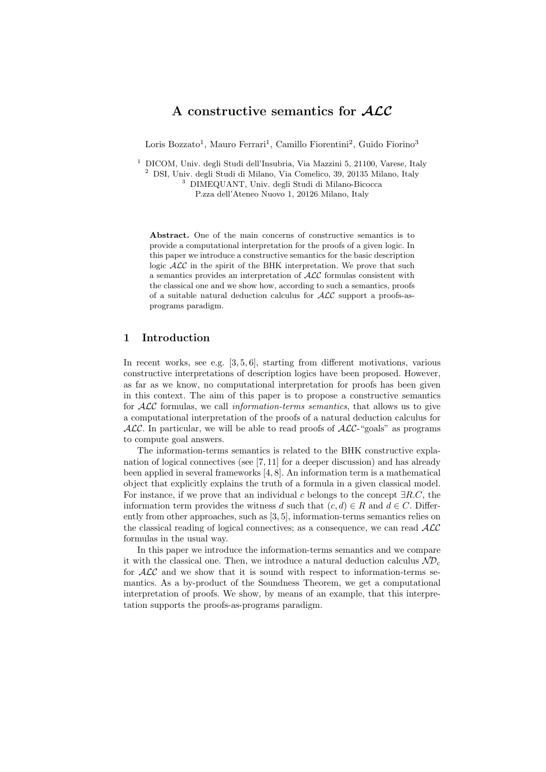## A constructive semantics for ALC

Loris Bozzato<sup>1</sup>, Mauro Ferrari<sup>1</sup>, Camillo Fiorentini<sup>2</sup>, Guido Fiorino<sup>3</sup>

 $^{\rm 1}$  DICOM, Univ. degli Studi dell'Insubria, Via Mazzini 5, 21100, Varese, Italy <sup>2</sup> DSI, Univ. degli Studi di Milano, Via Comelico, 39, 20135 Milano, Italy <sup>3</sup> DIMEQUANT, Univ. degli Studi di Milano-Bicocca P.zza dell'Ateneo Nuovo 1, 20126 Milano, Italy

Abstract. One of the main concerns of constructive semantics is to provide a computational interpretation for the proofs of a given logic. In this paper we introduce a constructive semantics for the basic description logic  $\mathcal{ALC}$  in the spirit of the BHK interpretation. We prove that such a semantics provides an interpretation of ALC formulas consistent with the classical one and we show how, according to such a semantics, proofs of a suitable natural deduction calculus for  $\text{ALC}$  support a proofs-asprograms paradigm.

## 1 Introduction

In recent works, see e.g. [3, 5, 6], starting from different motivations, various constructive interpretations of description logics have been proposed. However, as far as we know, no computational interpretation for proofs has been given in this context. The aim of this paper is to propose a constructive semantics for  $\mathcal{ALC}$  formulas, we call *information-terms semantics*, that allows us to give a computational interpretation of the proofs of a natural deduction calculus for  $ALC$ . In particular, we will be able to read proofs of  $ALC$ -"goals" as programs to compute goal answers.

The information-terms semantics is related to the BHK constructive explanation of logical connectives (see [7, 11] for a deeper discussion) and has already been applied in several frameworks [4, 8]. An information term is a mathematical object that explicitly explains the truth of a formula in a given classical model. For instance, if we prove that an individual c belongs to the concept  $\exists R.C$ , the information term provides the witness d such that  $(c, d) \in R$  and  $d \in C$ . Differently from other approaches, such as [3, 5], information-terms semantics relies on the classical reading of logical connectives; as a consequence, we can read  $\mathcal{ALC}$ formulas in the usual way.

In this paper we introduce the information-terms semantics and we compare it with the classical one. Then, we introduce a natural deduction calculus  $N\mathcal{D}_c$ for  $\mathcal{ALC}$  and we show that it is sound with respect to information-terms semantics. As a by-product of the Soundness Theorem, we get a computational interpretation of proofs. We show, by means of an example, that this interpretation supports the proofs-as-programs paradigm.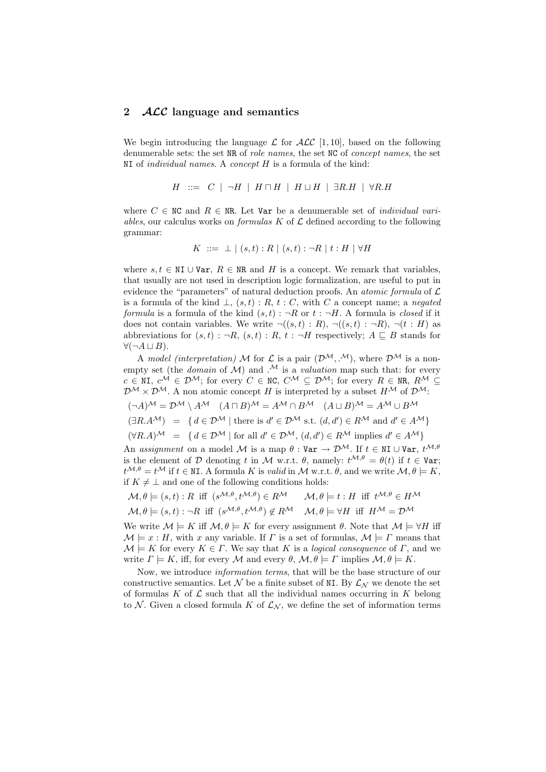### 2 *ACC* language and semantics

We begin introducing the language  $\mathcal L$  for  $\mathcal{ALC}$  [1, 10], based on the following denumerable sets: the set NR of *role names*, the set NC of *concept names*, the set  $NI$  of *individual names.* A *concept H* is a formula of the kind:

$$
H \ ::= \ C \ | \ \neg H \ | \ H \sqcap H \ | \ H \sqcup H \ | \ \exists R.H \ | \ \forall R.H
$$

where  $C \in \mathbb{NC}$  and  $R \in \mathbb{NR}$ . Let Var be a denumerable set of *individual vari*ables, our calculus works on *formulas*  $K$  of  $\mathcal L$  defined according to the following grammar:

$$
K \ ::= \bot \ | \ (s,t) : R \ | \ (s,t) : \neg R \ | \ t : H \ | \ \forall H
$$

where  $s, t \in \mathbb{N}$ I ∪ Var,  $R \in \mathbb{N}$ R and H is a concept. We remark that variables, that usually are not used in description logic formalization, are useful to put in evidence the "parameters" of natural deduction proofs. An *atomic formula* of  $\mathcal{L}$ is a formula of the kind  $\bot$ ,  $(s,t)$ : R,  $t$ : C, with C a concept name; a negated formula is a formula of the kind  $(s, t)$ :  $\neg R$  or  $t : \neg H$ . A formula is *closed* if it does not contain variables. We write  $\neg((s,t):R), \neg((s,t): \neg R), \neg(t:H)$  as abbreviations for  $(s, t) : \neg R$ ,  $(s, t) : R$ ,  $t : \neg H$  respectively;  $A \sqsubseteq B$  stands for  $\forall (\neg A \sqcup B).$ 

A model (interpretation) M for L is a pair  $(\mathcal{D}^{\mathcal{M}}, \mathcal{M})$ , where  $\mathcal{D}^{\mathcal{M}}$  is a nonempty set (the *domain* of M) and  $\mathcal{M}$  is a *valuation* map such that: for every  $c \in \mathbb{N}$ I,  $c^{\mathcal{M}} \in \mathcal{D}^{\mathcal{M}}$ ; for every  $C \in \mathbb{N}$ C,  $C^{\mathcal{M}} \subseteq \mathcal{D}^{\mathcal{M}}$ ; for every  $R \in \mathbb{N}$ R,  $R^{\mathcal{M}} \subseteq$  $\mathcal{D}^{\mathcal{M}} \times \mathcal{D}^{\mathcal{M}}$ . A non atomic concept H is interpreted by a subset  $H^{\mathcal{M}}$  of  $\mathcal{D}^{\mathcal{M}}$ .  $(A)^\mathcal{M} = \mathcal{D}^\mathcal{M} \setminus A^\mathcal{M}$   $(A \sqcap B)^\mathcal{M} = A^\mathcal{M} \cap B^\mathcal{M}$   $(A \sqcup B)^\mathcal{M} = A^\mathcal{M} \cup B^\mathcal{M}$ 

$$
(\exists R.A^{\mathcal{M}}) = \{ d \in \mathcal{D}^{\mathcal{M}} \mid \text{there is } d' \in \mathcal{D}^{\mathcal{M}} \text{ s.t. } (d, d') \in R^{\mathcal{M}} \text{ and } d' \in A^{\mathcal{M}} \}
$$

$$
(\forall R.A)^{\mathcal{M}} = \{ d \in \mathcal{D}^{\mathcal{M}} \mid \text{for all } d' \in \mathcal{D}^{\mathcal{M}}, (d, d') \in R^{\mathcal{M}} \text{ implies } d' \in A^{\mathcal{M}} \}
$$

An assignment on a model M is a map  $\theta$  : Var  $\rightarrow \mathcal{D}^{\mathcal{M}}$ . If  $t \in \mathbb{N}$  U Var,  $t^{\mathcal{M}, \theta}$ is the element of D denoting t in M w.r.t.  $\theta$ , namely:  $t^{\mathcal{M},\theta} = \theta(t)$  if  $t \in \mathbb{V}$ ar;  $t^{\mathcal{M},\theta}=t^{\mathcal{M}}$  if  $t\in \mathbb{N}$ . A formula K is valid in M w.r.t.  $\theta$ , and we write  $\mathcal{M}, \theta \models K$ , if  $K \neq \perp$  and one of the following conditions holds:

$$
\mathcal{M}, \theta \models (s, t) : R \text{ iff } (s^{\mathcal{M}, \theta}, t^{\mathcal{M}, \theta}) \in R^{\mathcal{M}} \qquad \mathcal{M}, \theta \models t : H \text{ iff } t^{\mathcal{M}, \theta} \in H^{\mathcal{M}}
$$

$$
\mathcal{M}, \theta \models (s, t) : \neg R \text{ iff } (s^{\mathcal{M}, \theta}, t^{\mathcal{M}, \theta}) \notin R^{\mathcal{M}} \qquad \mathcal{M}, \theta \models \forall H \text{ iff } H^{\mathcal{M}} = \mathcal{D}^{\mathcal{M}}
$$

We write  $\mathcal{M} \models K$  iff  $\mathcal{M}, \theta \models K$  for every assignment  $\theta$ . Note that  $\mathcal{M} \models \forall H$  iff  $\mathcal{M} \models x : H$ , with x any variable. If  $\Gamma$  is a set of formulas,  $\mathcal{M} \models \Gamma$  means that  $\mathcal{M} \models K$  for every  $K \in \Gamma$ . We say that K is a *logical consequence* of  $\Gamma$ , and we write  $\Gamma \models K$ , iff, for every M and every  $\theta$ ,  $\mathcal{M}, \theta \models \Gamma$  implies  $\mathcal{M}, \theta \models K$ .

Now, we introduce information terms, that will be the base structure of our constructive semantics. Let N be a finite subset of NI. By  $\mathcal{L}_{N}$  we denote the set of formulas K of  $\mathcal L$  such that all the individual names occurring in K belong to N. Given a closed formula K of  $\mathcal{L}_{N}$ , we define the set of information terms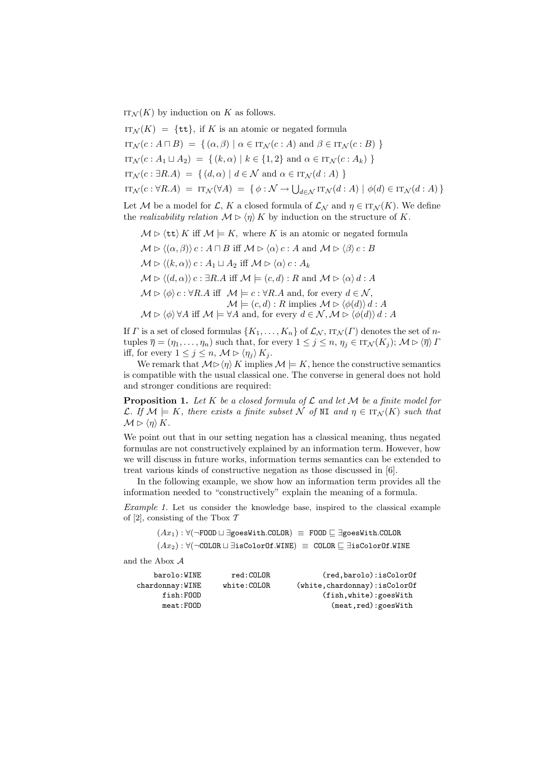$IT_{\mathcal{N}}(K)$  by induction on K as follows.

 $iota_{N}(K) = \{ \text{tt}\}\,$ , if K is an atomic or negated formula  $\text{IT}_{\mathcal{N}}(c : A \sqcap B) = \{ (\alpha, \beta) \mid \alpha \in \text{IT}_{\mathcal{N}}(c : A) \text{ and } \beta \in \text{IT}_{\mathcal{N}}(c : B) \}$  $i\text{Tr}_{\mathcal{N}}(c : A_1 \sqcup A_2) = \{ (k, \alpha) | k \in \{1, 2\} \text{ and } \alpha \in \text{Tr}_{\mathcal{N}}(c : A_k) \}$  $\text{IT}_{\mathcal{N}}(c : \exists R.A) = \{ (d, \alpha) | d \in \mathcal{N} \text{ and } \alpha \in \text{IT}_{\mathcal{N}}(d : A) \}$  $\text{if } \text{tr}_\mathcal{N}(c : \forall R.A) = \text{if } \text{tr}_\mathcal{N}(\forall A) = \{ \phi : \mathcal{N} \to \bigcup_{d \in \mathcal{N}} \text{if } \text{tr}_\mathcal{N}(d : A) \mid \phi(d) \in \text{if } \text{tr}_\mathcal{N}(d : A) \}$ 

Let M be a model for L, K a closed formula of  $\mathcal{L}_{\mathcal{N}}$  and  $\eta \in \text{IT}_{\mathcal{N}}(K)$ . We define the *realizability relation*  $M \triangleright \langle \eta \rangle K$  by induction on the structure of K.

- $M \triangleright \langle \text{tt} \rangle K$  iff  $M \models K$ , where K is an atomic or negated formula
- $M \triangleright \langle (\alpha, \beta) \rangle c : A \sqcap B$  iff  $M \triangleright \langle \alpha \rangle c : A$  and  $M \triangleright \langle \beta \rangle c : B$  $\mathcal{M} \triangleright \langle (k, \alpha) \rangle c : A_1 \sqcup A_2 \text{ iff } \mathcal{M} \triangleright \langle \alpha \rangle c : A_k$  $M \triangleright \langle (d, \alpha) \rangle c : \exists R.A \text{ iff } \mathcal{M} \models (c, d) : R \text{ and } \mathcal{M} \triangleright \langle \alpha \rangle d : A$  $M \triangleright \langle \phi \rangle c : \forall R.A \text{ iff } \mathcal{M} \models c : \forall R.A \text{ and, for every } d \in \mathcal{N},$  $\mathcal{M} \models (c, d) : R \text{ implies } \mathcal{M} \triangleright \langle \phi(d) \rangle d : A$  $\mathcal{M} \triangleright \langle \phi \rangle \, \forall A$  iff  $\mathcal{M} \models \forall A$  and, for every  $d \in \mathcal{N}, \mathcal{M} \triangleright \langle \phi(d) \rangle d : A$

If  $\Gamma$  is a set of closed formulas  $\{K_1, \ldots, K_n\}$  of  $\mathcal{L}_{\mathcal{N}}$ ,  $\text{IT}_{\mathcal{N}}(\Gamma)$  denotes the set of ntuples  $\overline{\eta} = (\eta_1, \ldots, \eta_n)$  such that, for every  $1 \leq j \leq n, \eta_j \in \text{IT}_\mathcal{N}(K_j)$ ;  $\mathcal{M} \triangleright \langle \overline{\eta} \rangle \Gamma$ iff, for every  $1 \leq j \leq n$ ,  $\mathcal{M} \triangleright \langle \eta_i \rangle K_i$ .

We remark that  $M \triangleright \langle \eta \rangle K$  implies  $M \models K$ , hence the constructive semantics is compatible with the usual classical one. The converse in general does not hold and stronger conditions are required:

**Proposition 1.** Let K be a closed formula of L and let M be a finite model for L. If  $\mathcal{M} \models K$ , there exists a finite subset N of NI and  $\eta \in \text{IT}_{\mathcal{N}}(K)$  such that  $\mathcal{M} \triangleright \langle \eta \rangle K.$ 

We point out that in our setting negation has a classical meaning, thus negated formulas are not constructively explained by an information term. However, how we will discuss in future works, information terms semantics can be extended to treat various kinds of constructive negation as those discussed in [6].

In the following example, we show how an information term provides all the information needed to "constructively" explain the meaning of a formula.

Example 1. Let us consider the knowledge base, inspired to the classical example of [2], consisting of the Tbox  $\mathcal T$ 

> $(Ax_1): \forall (\neg \texttt{FOOD} \sqcup \exists \texttt{goesWith.COLDR}) \equiv \texttt{FOOD} \sqsubset \exists \texttt{goesWith.COLDR}$  $(Ax_2): \forall (\neg \texttt{COLOR} \sqcup \exists \texttt{isColorOf}.\mathtt{WINE}) \equiv \texttt{COLOR} \sqsubseteq \exists \texttt{isColorOf}.\mathtt{WINE}$

and the Abox A

| barolo:WINE       | red:COLOR   | (red, barolo): isColorOf       |
|-------------------|-------------|--------------------------------|
| $chardomay:$ WINE | white:COLOR | (white, chardonnay): isColorOf |
| fish:FOOD         |             | $(fish, white)$ : goesWith     |
| meat:FOOD         |             | (meat, red): goesWith          |
|                   |             |                                |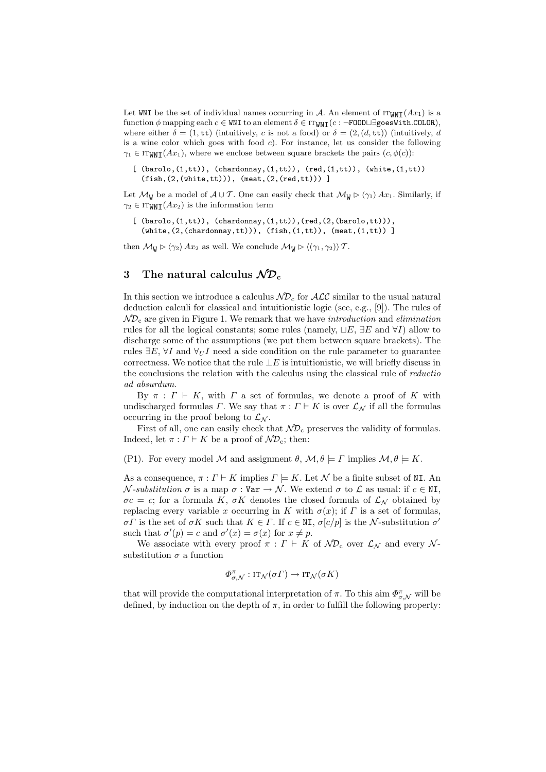Let WNI be the set of individual names occurring in A. An element of  $IT_{WNI}(Ax_1)$  is a function  $\phi$  mapping each  $c \in WNI$  to an element  $\delta \in IT_{WNI}(c : \neg F00D \sqcup \exists goesWith.C0L0R)$ , where either  $\delta = (1, \text{tt})$  (intuitively, c is not a food) or  $\delta = (2, (d, \text{tt}))$  (intuitively, d is a wine color which goes with food  $c$ ). For instance, let us consider the following  $\gamma_1 \in \text{ITWNT}(Ax_1)$ , where we enclose between square brackets the pairs  $(c, \phi(c))$ :

 $[$  (barolo, $(1,tt)$ ), (chardonnay, $(1,tt)$ ),  $(red,(1,tt))$ ,  $(white,(1,tt))$  $(fish,(2,(white,tt)))$ ,  $(meat,(2,(red,tt)))$ ]

Let  $\mathcal{M}_{W}$  be a model of  $A\cup T$ . One can easily check that  $\mathcal{M}_{W} \triangleright \langle \gamma_{1} \rangle Ax_{1}$ . Similarly, if  $\gamma_2 \in \text{ITWNT}(Ax_2)$  is the information term

```
[ (barolo,(1,tt)), (chardonnay,(1,tt)), (red,(2,(barolo,tt))),
  (\text{white},(2,(\text{chardomain},\text{tt}))), (\text{fish},(1,\text{tt})), (\text{meat},(1,\text{tt}))
```
then  $\mathcal{M}_{W} \triangleright \langle \gamma_2 \rangle Ax_2$  as well. We conclude  $\mathcal{M}_{W} \triangleright \langle (\gamma_1, \gamma_2) \rangle \mathcal{T}$ .

# 3 The natural calculus  $N\mathcal{D}_c$

In this section we introduce a calculus  $N\mathcal{D}_c$  for  $\mathcal{ALC}$  similar to the usual natural deduction calculi for classical and intuitionistic logic (see, e.g., [9]). The rules of  $N\mathcal{D}_c$  are given in Figure 1. We remark that we have introduction and elimination rules for all the logical constants; some rules (namely,  $\sqcup E$ ,  $\exists E$  and  $\forall I$ ) allow to discharge some of the assumptions (we put them between square brackets). The rules  $\exists E, \forall I$  and  $\forall_U I$  need a side condition on the rule parameter to guarantee correctness. We notice that the rule  $\bot E$  is intuitionistic, we will briefly discuss in the conclusions the relation with the calculus using the classical rule of reductio ad absurdum.

By  $\pi$  :  $\Gamma \vdash K$ , with  $\Gamma$  a set of formulas, we denote a proof of K with undischarged formulas  $\Gamma$ . We say that  $\pi : \Gamma \vdash K$  is over  $\mathcal{L}_{\mathcal{N}}$  if all the formulas occurring in the proof belong to  $\mathcal{L}_{N}$ .

First of all, one can easily check that  $N\mathcal{D}_c$  preserves the validity of formulas. Indeed, let  $\pi : \Gamma \vdash K$  be a proof of  $\mathcal{ND}_c$ ; then:

(P1). For every model M and assignment  $\theta$ ,  $\mathcal{M}, \theta \models \Gamma$  implies  $\mathcal{M}, \theta \models K$ .

As a consequence,  $\pi : \Gamma \vdash K$  implies  $\Gamma \models K$ . Let N be a finite subset of NI. An  $\mathcal{N}$ -substitution  $\sigma$  is a map  $\sigma : \mathbb{V}$  as  $\mathcal{N}$ . We extend  $\sigma$  to  $\mathcal{L}$  as usual: if  $c \in \mathbb{N}$ ,  $\sigma c = c$ ; for a formula K,  $\sigma K$  denotes the closed formula of  $\mathcal{L}_{\mathcal{N}}$  obtained by replacing every variable x occurring in K with  $\sigma(x)$ ; if T is a set of formulas,  $\sigma \Gamma$  is the set of  $\sigma K$  such that  $K \in \Gamma$ . If  $c \in N I$ ,  $\sigma[c/p]$  is the N-substitution  $\sigma'$ such that  $\sigma'(p) = c$  and  $\sigma'(x) = \sigma(x)$  for  $x \neq p$ .

We associate with every proof  $\pi : \Gamma \vdash K$  of  $\mathcal{ND}_{c}$  over  $\mathcal{L}_{\mathcal{N}}$  and every  $\mathcal{N}$ substitution  $\sigma$  a function

$$
\varPhi^\pi_{\sigma,\mathcal{N}}:\operatorname{IT}_{\mathcal{N}}(\sigma\varGamma)\rightarrow\operatorname{IT}_{\mathcal{N}}(\sigma K)
$$

that will provide the computational interpretation of  $\pi$ . To this aim  $\Phi_{\sigma,\mathcal{N}}^{\pi}$  will be defined, by induction on the depth of  $\pi$ , in order to fulfill the following property: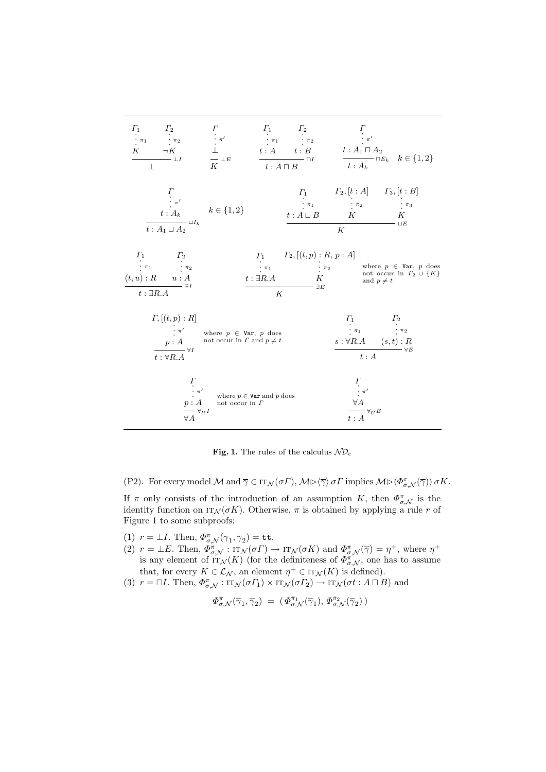

Fig. 1. The rules of the calculus  $N\mathcal{D}_c$ 

(P2). For every model  $\mathcal M$  and  $\overline{\gamma} \in \text{IT}_{\mathcal N}(\sigma \Gamma), \mathcal M \rhd \langle \overline{\gamma} \rangle \sigma \Gamma$  implies  $\mathcal M \rhd \langle \Phi_{\sigma,\mathcal N}^{\pi}(\overline{\gamma}) \rangle \sigma K$ .

If  $\pi$  only consists of the introduction of an assumption K, then  $\Phi_{\sigma,\mathcal{N}}^{\pi}$  is the identity function on  $IT_N(\sigma K)$ . Otherwise,  $\pi$  is obtained by applying a rule r of Figure 1 to some subproofs:

- (1)  $r = \pm I$ . Then,  $\Phi_{\sigma,\mathcal{N}}^{\pi}(\overline{\gamma}_1,\overline{\gamma}_2) = \mathtt{tt}$ .
- (2)  $r = \pm E$ . Then,  $\Phi^{\pi}_{\sigma,\mathcal{N}} : \text{IT}_{\mathcal{N}}(\sigma \Gamma) \to \text{IT}_{\mathcal{N}}(\sigma K)$  and  $\Phi^{\pi}_{\sigma,\mathcal{N}}(\overline{\gamma}) = \eta^{+}$ , where  $\eta^{+}$ is any element of  $IT_{\mathcal{N}}(K)$  (for the definiteness of  $\Phi_{\sigma,\mathcal{N}}^{\pi}$ , one has to assume that, for every  $K \in \mathcal{L}_{\mathcal{N}}$ , an element  $\eta^+ \in \text{IT}_{\mathcal{N}}(K)$  is defined).
- (3)  $r = \Box I$ . Then,  $\Phi_{\sigma,\mathcal{N}}^{\pi} : \text{IT}_{\mathcal{N}}(\sigma \Gamma_1) \times \text{IT}_{\mathcal{N}}(\sigma \Gamma_2) \to \text{IT}_{\mathcal{N}}(\sigma t : A \sqcap B)$  and

$$
\varPhi_{\sigma, \mathcal{N}}^{\pi}(\overline{\gamma}_1, \overline{\gamma}_2) = (\varPhi_{\sigma, \mathcal{N}}^{\pi_1}(\overline{\gamma}_1), \varPhi_{\sigma, \mathcal{N}}^{\pi_2}(\overline{\gamma}_2))
$$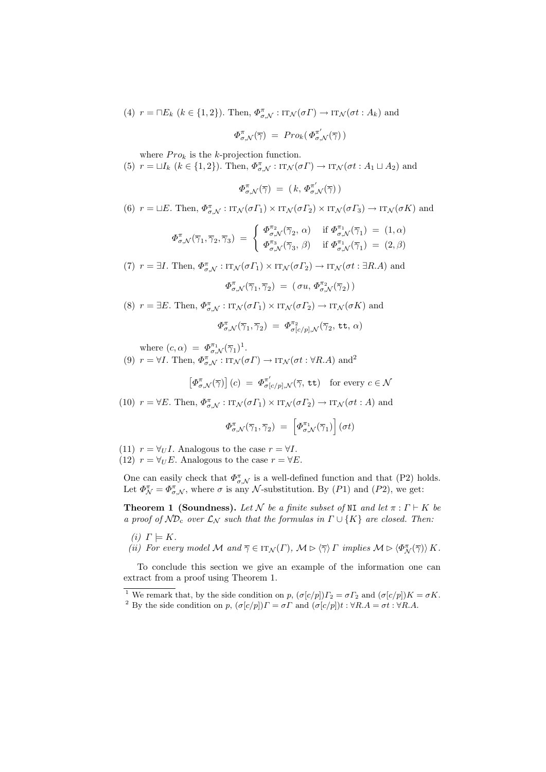(4) 
$$
r = \Box E_k
$$
  $(k \in \{1, 2\})$ . Then,  $\Phi_{\sigma, \mathcal{N}}^{\pi} : \mathrm{IT}_{\mathcal{N}}(\sigma \Gamma) \to \mathrm{IT}_{\mathcal{N}}(\sigma t : A_k)$  and

$$
\Phi^{\pi}_{\sigma, \mathcal{N}}(\overline{\gamma}) \; = \; Pro_k(\, \Phi^{\pi'}_{\sigma, \mathcal{N}}(\overline{\gamma}) \, )
$$

where  $Pro_k$  is the k-projection function.

(5)  $r = \sqcup I_k$   $(k \in \{1, 2\})$ . Then,  $\Phi_{\sigma, \mathcal{N}}^{\pi} : \text{IT}_{\mathcal{N}}(\sigma \Gamma) \to \text{IT}_{\mathcal{N}}(\sigma t : A_1 \sqcup A_2)$  and

$$
\varPhi^{\pi}_{\sigma, \mathcal{N}}(\overline{\gamma}) \; = \; ( \, k, \, \varPhi^{\pi'}_{\sigma, \mathcal{N}}(\overline{\gamma}) \, )
$$

(6)  $r = \Box E$ . Then,  $\Phi_{\sigma,\mathcal{N}}^{\pi} : \text{IT}_{\mathcal{N}}(\sigma \Gamma_1) \times \text{IT}_{\mathcal{N}}(\sigma \Gamma_2) \times \text{IT}_{\mathcal{N}}(\sigma \Gamma_3) \to \text{IT}_{\mathcal{N}}(\sigma K)$  and

$$
\Phi_{\sigma,\mathcal{N}}^{\pi}(\overline{\gamma}_1,\overline{\gamma}_2,\overline{\gamma}_3) = \begin{cases}\n\Phi_{\sigma,\mathcal{N}}^{\pi_2}(\overline{\gamma}_2,\,\alpha) & \text{if } \Phi_{\sigma,\mathcal{N}}^{\pi_1}(\overline{\gamma}_1) = (1,\alpha) \\
\Phi_{\sigma,\mathcal{N}}^{\pi_3}(\overline{\gamma}_3,\,\beta) & \text{if } \Phi_{\sigma,\mathcal{N}}^{\pi_1}(\overline{\gamma}_1) = (2,\beta)\n\end{cases}
$$

(7)  $r = \exists I$ . Then,  $\Phi_{\sigma,\mathcal{N}}^{\pi} : \text{IT}_{\mathcal{N}}(\sigma \Gamma_1) \times \text{IT}_{\mathcal{N}}(\sigma \Gamma_2) \to \text{IT}_{\mathcal{N}}(\sigma t : \exists R.A)$  and

$$
\varPhi^\pi_{\sigma, \mathcal{N}}(\overline{\gamma}_1, \overline{\gamma}_2) \; = \; (\, \sigma u, \, \varPhi^{\pi_2}_{\sigma, \mathcal{N}}(\overline{\gamma}_2) \, )
$$

(8)  $r = \exists E$ . Then,  $\Phi_{\sigma,\mathcal{N}}^{\pi} : \text{IT}_{\mathcal{N}}(\sigma \Gamma_1) \times \text{IT}_{\mathcal{N}}(\sigma \Gamma_2) \to \text{IT}_{\mathcal{N}}(\sigma K)$  and  $\varPhi_{\sigma, \mathcal{N}}^{\pi}(\overline{\gamma}_1, \overline{\gamma}_2) \; = \; \varPhi_{\sigma[c/p], \mathcal{N}}^{\pi_2}(\overline{\gamma}_2, \, \texttt{tt}, \, \alpha)$ 

where 
$$
(c, \alpha) = \Phi_{\sigma, \mathcal{N}}^{\pi_1}(\overline{\gamma}_1)^1
$$
.  
(9)  $r = \forall I$ . Then,  $\Phi_{\sigma, \mathcal{N}}^{\pi_1} : \text{IT}_{\mathcal{N}}(\sigma I) \to \text{IT}_{\mathcal{N}}(\sigma t : \forall R.A)$  and<sup>2</sup>

 $\left[\Phi^{\pi}_{\sigma,\mathcal{N}}(\overline{\gamma})\right](c) = \Phi^{\pi'}_{\sigma[c/p],\mathcal{N}}(\overline{\gamma},\,\texttt{tt})$  for every  $c \in \mathcal{N}$ 

(10)  $r = \forall E$ . Then,  $\Phi_{\sigma,\mathcal{N}}^{\pi} : \text{IT}_{\mathcal{N}}(\sigma \Gamma_1) \times \text{IT}_{\mathcal{N}}(\sigma \Gamma_2) \to \text{IT}_{\mathcal{N}}(\sigma t : A)$  and

$$
\varPhi^\pi_{\sigma, \mathcal{N}}(\overline{\gamma}_1, \overline{\gamma}_2) = \left[ \varPhi^{\pi_1}_{\sigma, \mathcal{N}}(\overline{\gamma}_1) \right] (\sigma t)
$$

(11)  $r = \forall_U I$ . Analogous to the case  $r = \forall I$ . (12)  $r = \forall_U E$ . Analogous to the case  $r = \forall E$ .

One can easily check that  $\Phi_{\sigma,\mathcal{N}}^{\pi}$  is a well-defined function and that (P2) holds. Let  $\Phi_{\mathcal{N}}^{\pi} = \Phi_{\sigma,\mathcal{N}}^{\pi}$ , where  $\sigma$  is any  $\mathcal{N}$ -substitution. By (P1) and (P2), we get:

**Theorem 1 (Soundness).** Let N be a finite subset of NI and let  $\pi : \Gamma \vdash K$  be a proof of  $\mathcal{ND}_{c}$  over  $\mathcal{L}_{\mathcal{N}}$  such that the formulas in  $\Gamma \cup \{K\}$  are closed. Then:

- (i)  $\Gamma \models K$ .
- (ii) For every model M and  $\overline{\gamma} \in \text{IT}_{\mathcal{N}}(\Gamma)$ ,  $\mathcal{M} \triangleright \langle \overline{\gamma} \rangle \Gamma$  implies  $\mathcal{M} \triangleright \langle \Phi_{\mathcal{N}}^{\pi}(\overline{\gamma}) \rangle K$ .

To conclude this section we give an example of the information one can extract from a proof using Theorem 1.

<sup>&</sup>lt;sup>1</sup> We remark that, by the side condition on p,  $(\sigma[c/p])\Gamma_2 = \sigma \Gamma_2$  and  $(\sigma[c/p])K = \sigma K$ .

<sup>&</sup>lt;sup>2</sup> By the side condition on p,  $(\sigma[c/p]) = \sigma \Gamma$  and  $(\sigma[c/p])t : \forall R.A = \sigma t : \forall R.A$ .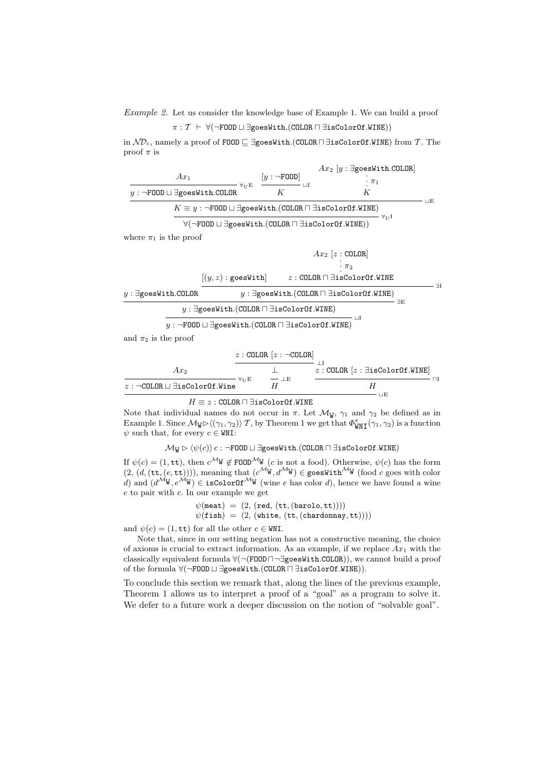Example 2. Let us consider the knowledge base of Example 1. We can build a proof

$$
\pi: \mathcal{T} \;\vdash\; \forall (\neg \mathtt{FOOD} \sqcup \exists \mathtt{goesWith}.(\mathtt{COLOR} \sqcap \exists \mathtt{isColorOf}.\mathtt{WINE}))
$$

in  $N\mathcal{D}_c$ , namely a proof of FOOD  $\Box$  ∃goesWith.(COLOR  $\Box$  ∃isColorOf.WINE) from T. The proof  $\pi$  is

|                                                                                                                                     |                                                                                                                                             |                            | $Ax_2$ $[y : \exists$ goesWith.COLOR                 |    |  |  |  |
|-------------------------------------------------------------------------------------------------------------------------------------|---------------------------------------------------------------------------------------------------------------------------------------------|----------------------------|------------------------------------------------------|----|--|--|--|
| $Ax_1$                                                                                                                              |                                                                                                                                             | $[y : \neg \texttt{FOOD}]$ | $\cdot \pi_1$                                        |    |  |  |  |
| $y : \neg$ FOOD $\sqcup \exists$ goesWith.COLOR                                                                                     | $\forall_{\text{U}} E$                                                                                                                      | $\perp$ $\perp$<br>K       | K                                                    | ПE |  |  |  |
| $K \equiv y : \neg \texttt{FOOD} \sqcup \exists \texttt{goesWith}.(\texttt{COLOR} \sqcap \exists \texttt{isColorOf}.\mathtt{WINE})$ |                                                                                                                                             |                            |                                                      |    |  |  |  |
|                                                                                                                                     | $A^{11}$<br>$\forall(\neg \texttt{FOOD} \sqcup \exists \texttt{goesWith}.(\texttt{COLOR} \sqcap \exists \texttt{isColorOf}.\mathtt{WINE}))$ |                            |                                                      |    |  |  |  |
| where $\pi_1$ is the proof                                                                                                          |                                                                                                                                             |                            |                                                      |    |  |  |  |
|                                                                                                                                     |                                                                                                                                             |                            | $Ax_2$ [ $z$ : COLOR]                                |    |  |  |  |
|                                                                                                                                     |                                                                                                                                             |                            | $\cdot \pi_2$                                        |    |  |  |  |
|                                                                                                                                     | $[(y,z):$ goesWith                                                                                                                          |                            | $z: {\tt COLOR} \sqcap \exists {\tt isColorOf.WINE}$ |    |  |  |  |
| $y: \exists$ goesWith.COLOR                                                                                                         | $\exists I$<br>$y: \exists$ goesWith.(COLOR $\sqcap \exists$ isColorOf.WINE)                                                                |                            |                                                      |    |  |  |  |
| EЕ<br>$y: \exists$ goesWith.(COLOR $\sqcap \exists$ isColorOf.WINE)                                                                 |                                                                                                                                             |                            |                                                      |    |  |  |  |
|                                                                                                                                     |                                                                                                                                             |                            | Ш                                                    |    |  |  |  |

$$
y:\neg \texttt{FOOD} \sqcup \exists \texttt{goesWith}.(\texttt{COLOR} \sqcap \exists \texttt{isColorOf}.\mathtt{WINE})
$$

and  $\pi_2$  is the proof

|                                                                                                                                                                                                                                                                                                                                                                                      | $z:$ COLOR $[z: \neg$ COLOR |                                                             |
|--------------------------------------------------------------------------------------------------------------------------------------------------------------------------------------------------------------------------------------------------------------------------------------------------------------------------------------------------------------------------------------|-----------------------------|-------------------------------------------------------------|
| $Ax_2$                                                                                                                                                                                                                                                                                                                                                                               |                             | $z:$ COLOR $[z: \exists is \texttt{ColorOf}.\mathtt{WINE}]$ |
| $\forall$ t t $\to$<br>$z: \neg \text{COLOR} \sqcup \exists \text{isColorOf}.\text{Wine}$                                                                                                                                                                                                                                                                                            | $-1E$                       |                                                             |
| $\overline{I}$ $\overline{I}$ $\overline{I}$ $\overline{I}$ $\overline{I}$ $\overline{I}$ $\overline{I}$ $\overline{I}$ $\overline{I}$ $\overline{I}$ $\overline{I}$ $\overline{I}$ $\overline{I}$ $\overline{I}$ $\overline{I}$ $\overline{I}$ $\overline{I}$ $\overline{I}$ $\overline{I}$ $\overline{I}$ $\overline{I}$ $\overline{I}$ $\overline{I}$ $\overline{I}$ $\overline{$ |                             | -IE                                                         |

 $H \equiv z : \mathtt{COLOR} \sqcap \exists \mathtt{isColorOf}.\mathtt{WINE}$ 

Note that individual names do not occur in  $\pi$ . Let  $\mathcal{M}_{W}$ ,  $\gamma_1$  and  $\gamma_2$  be defined as in Example 1. Since  $\mathcal{M}_{W} \triangleright \langle (\gamma_1, \gamma_2) \rangle \mathcal{T}$ , by Theorem 1 we get that  $\Phi_{WNI}^{\pi}(\gamma_1, \gamma_2)$  is a function  $\psi$  such that, for every  $c \in WNI$ :

 $\mathcal{M}_W \triangleright \langle \psi(c) \rangle c : \neg \texttt{FOOD} \sqcup \exists \texttt{goesWith}.(\texttt{COLOR} \sqcap \exists \texttt{isColorOf}.\mathtt{WINE})$ 

If  $\psi(c) = (1, \text{tt})$ , then  $c^{\mathcal{M}} \Psi \notin \text{FOD}^{\mathcal{M}} \Psi$  (c is not a food). Otherwise,  $\psi(c)$  has the form  $(2, (d, (\texttt{tt}, (e, \texttt{tt}))))$ , meaning that  $(c^{\mathcal{M}} W, d^{\mathcal{M}} W) \in \texttt{goesWith}^{\mathcal{M}} W$  (food c goes with color d) and  $(d^{\mathcal{M}}W, e^{\mathcal{M}}W) \in \mathbf{isColorOf}^{\mathcal{M}}W$  (wine e has color d), hence we have found a wine e to pair with c. In our example we get

> $\psi$ (meat) = (2, (red, (tt, (barolo, tt))))  $\psi$ (fish) = (2, (white, (tt, (chardonnay, tt))))

and  $\psi(c) = (1, \text{tt})$  for all the other  $c \in \text{WNI}$ .

Note that, since in our setting negation has not a constructive meaning, the choice of axioms is crucial to extract information. As an example, if we replace  $Ax_1$  with the classically equivalent formula  $\forall (\neg(\texttt{FOOD} \sqcap \exists \texttt{goesWith.COLDR})),$  we cannot build a proof of the formula ∀(¬FOOD  $\sqcup \exists$ goesWith.(COLOR  $\sqcap \exists$ isColorOf.WINE)).

To conclude this section we remark that, along the lines of the previous example, Theorem 1 allows us to interpret a proof of a "goal" as a program to solve it. We defer to a future work a deeper discussion on the notion of "solvable goal".